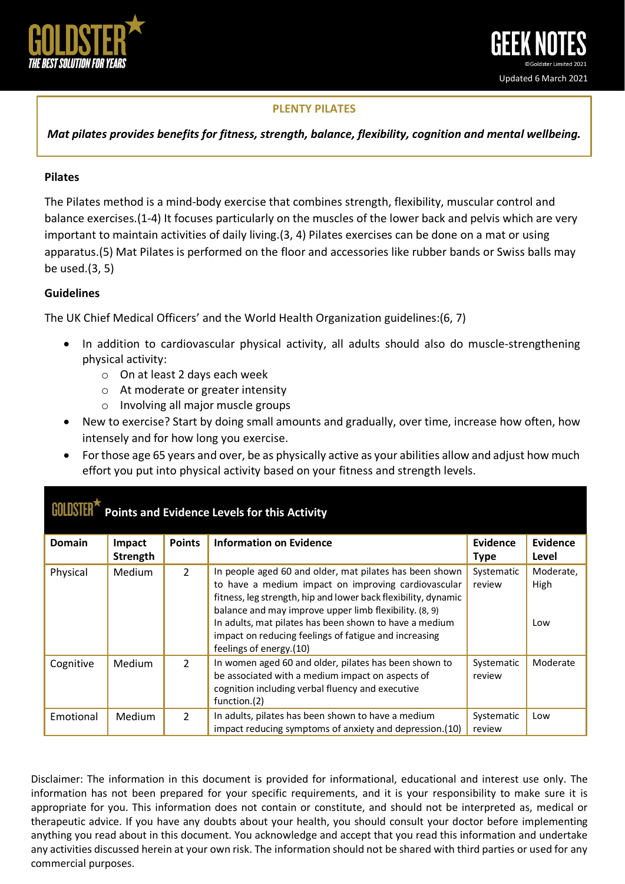

## **PLENTY PILATES**

*Mat pilates provides benefits for fitness, strength, balance, flexibility, cognition and mental wellbeing.*

## **Pilates**

The Pilates method is a mind-body exercise that combines strength, flexibility, muscular control and balance exercises.(1-4) It focuses particularly on the muscles of the lower back and pelvis which are very important to maintain activities of daily living.(3, 4) Pilates exercises can be done on a mat or using apparatus.(5) Mat Pilates is performed on the floor and accessories like rubber bands or Swiss balls may be used.(3, 5)

## **Guidelines**

The UK Chief Medical Officers' and the World Health Organization guidelines:(6, 7)

- In addition to cardiovascular physical activity, all adults should also do muscle-strengthening physical activity:
	- o On at least 2 days each week
	- o At moderate or greater intensity
	- o Involving all major muscle groups
- New to exercise? Start by doing small amounts and gradually, over time, increase how often, how intensely and for how long you exercise.
- For those age 65 years and over, be as physically active as your abilities allow and adjust how much effort you put into physical activity based on your fitness and strength levels.

| <b>Points and Evidence Levels for this Activity</b> |               |                |                                                                                                                                                                                                                                            |                      |                   |
|-----------------------------------------------------|---------------|----------------|--------------------------------------------------------------------------------------------------------------------------------------------------------------------------------------------------------------------------------------------|----------------------|-------------------|
| <b>Domain</b>                                       | Impact        | <b>Points</b>  | <b>Information on Evidence</b>                                                                                                                                                                                                             | <b>Evidence</b>      | <b>Evidence</b>   |
|                                                     | Strength      |                |                                                                                                                                                                                                                                            | <b>Type</b>          | Level             |
| Physical                                            | <b>Medium</b> | $\overline{2}$ | In people aged 60 and older, mat pilates has been shown<br>to have a medium impact on improving cardiovascular<br>fitness, leg strength, hip and lower back flexibility, dynamic<br>balance and may improve upper limb flexibility. (8, 9) | Systematic<br>review | Moderate,<br>High |
|                                                     |               |                | In adults, mat pilates has been shown to have a medium<br>impact on reducing feelings of fatigue and increasing<br>feelings of energy.(10)                                                                                                 |                      | Low               |
| Cognitive                                           | Medium        | $\mathcal{L}$  | In women aged 60 and older, pilates has been shown to<br>be associated with a medium impact on aspects of<br>cognition including verbal fluency and executive<br>function.(2)                                                              | Systematic<br>review | Moderate          |
| Emotional                                           | Medium        | $\overline{2}$ | In adults, pilates has been shown to have a medium<br>impact reducing symptoms of anxiety and depression.(10)                                                                                                                              | Systematic<br>review | Low               |

Disclaimer: The information in this document is provided for informational, educational and interest use only. The information has not been prepared for your specific requirements, and it is your responsibility to make sure it is appropriate for you. This information does not contain or constitute, and should not be interpreted as, medical or therapeutic advice. If you have any doubts about your health, you should consult your doctor before implementing anything you read about in this document. You acknowledge and accept that you read this information and undertake any activities discussed herein at your own risk. The information should not be shared with third parties or used for any commercial purposes.